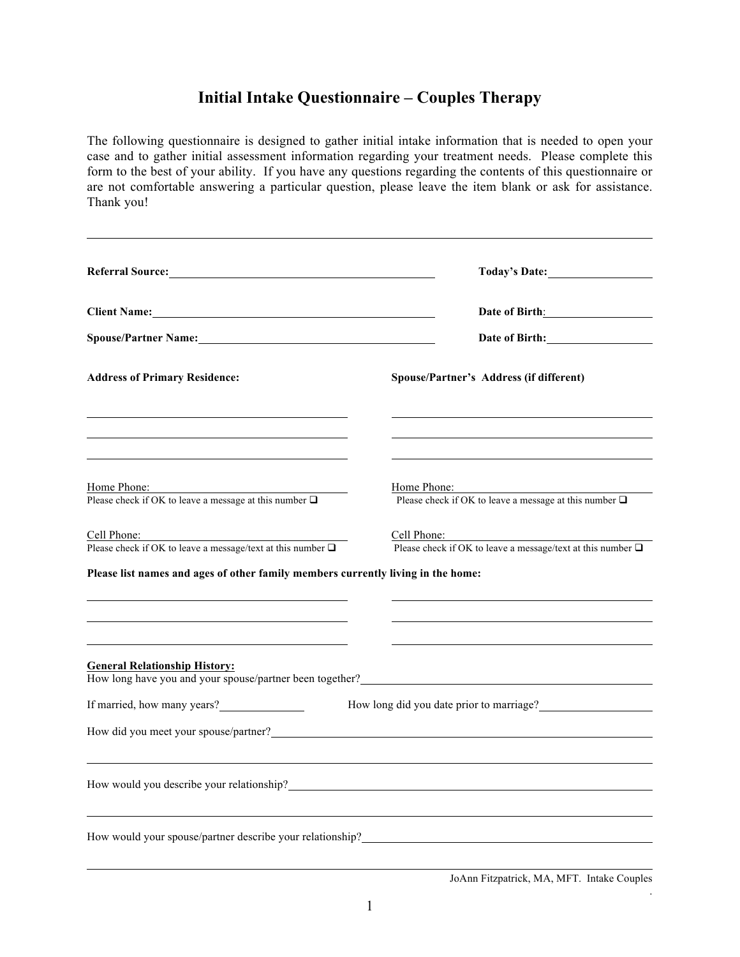## **Initial Intake Questionnaire – Couples Therapy**

The following questionnaire is designed to gather initial intake information that is needed to open your case and to gather initial assessment information regarding your treatment needs. Please complete this form to the best of your ability. If you have any questions regarding the contents of this questionnaire or are not comfortable answering a particular question, please leave the item blank or ask for assistance. Thank you!

|                                                                                  | Today's Date:                                                                   |
|----------------------------------------------------------------------------------|---------------------------------------------------------------------------------|
|                                                                                  | Date of Birth: 2008                                                             |
|                                                                                  | Date of Birth:                                                                  |
| <b>Address of Primary Residence:</b>                                             | Spouse/Partner's Address (if different)                                         |
|                                                                                  |                                                                                 |
| Home Phone:<br>Please check if OK to leave a message at this number $\Box$       | Home Phone:<br>Please check if OK to leave a message at this number $\Box$      |
| Cell Phone:<br>Please check if OK to leave a message/text at this number $\Box$  | Cell Phone:<br>Please check if OK to leave a message/text at this number $\Box$ |
| Please list names and ages of other family members currently living in the home: |                                                                                 |
|                                                                                  |                                                                                 |
| <b>General Relationship History:</b>                                             | How long have you and your spouse/partner been together?                        |
| If married, how many years?                                                      | How long did you date prior to marriage?                                        |
|                                                                                  |                                                                                 |
|                                                                                  |                                                                                 |
|                                                                                  |                                                                                 |
| How would your spouse/partner describe your relationship?                        |                                                                                 |
|                                                                                  |                                                                                 |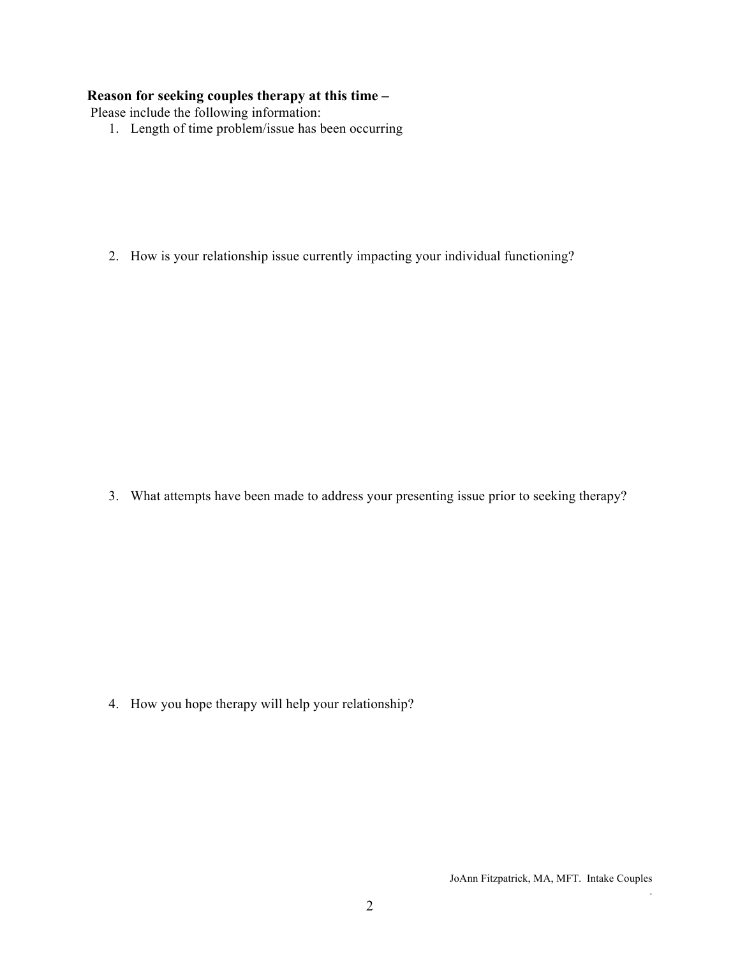### **Reason for seeking couples therapy at this time –**

Please include the following information:

1. Length of time problem/issue has been occurring

2. How is your relationship issue currently impacting your individual functioning?

3. What attempts have been made to address your presenting issue prior to seeking therapy?

4. How you hope therapy will help your relationship?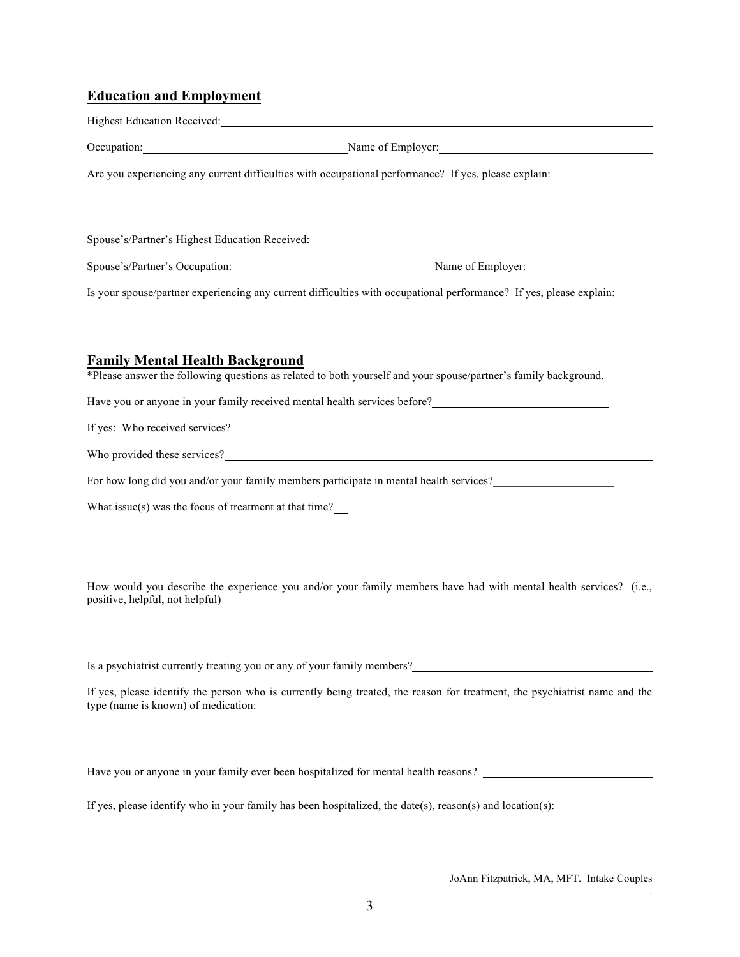# **Education and Employment**

| Highest Education Received: New York Changes and School Changes and School Changes and School Changes and School Changes and School Changes and School Changes and School Changes and School Changes and School Changes and Sc        |
|---------------------------------------------------------------------------------------------------------------------------------------------------------------------------------------------------------------------------------------|
| Occupation: Name of Employer: Name of Employer:                                                                                                                                                                                       |
| Are you experiencing any current difficulties with occupational performance? If yes, please explain:                                                                                                                                  |
| Spouse's/Partner's Highest Education Received: Marketing and Marketing and Marketing and Marketing and Marketing and Marketing and Marketing and Marketing and Marketing and Marketing and Marketing and Marketing and Marketi        |
| Spouse's/Partner's Occupation: Name of Employer: Name of Employer:                                                                                                                                                                    |
| Is your spouse/partner experiencing any current difficulties with occupational performance? If yes, please explain:                                                                                                                   |
| <b>Family Mental Health Background</b><br>*Please answer the following questions as related to both yourself and your spouse/partner's family background.                                                                             |
| Have you or anyone in your family received mental health services before?<br><u>Letter and the services</u> before and the services of the services of the services of the services of the services of the services of the services o |
| If yes: Who received services?                                                                                                                                                                                                        |
| Who provided these services?                                                                                                                                                                                                          |
| For how long did you and/or your family members participate in mental health services?                                                                                                                                                |
| What issue(s) was the focus of treatment at that time? $\frac{1}{\sqrt{2}}$                                                                                                                                                           |
| How would you describe the experience you and/or your family members have had with mental health services? (i.e.,<br>positive, helpful, not helpful)                                                                                  |
| Is a psychiatrist currently treating you or any of your family members?<br><u>Examples</u>                                                                                                                                            |
| If yes, please identify the person who is currently being treated, the reason for treatment, the psychiatrist name and the<br>type (name is known) of medication:                                                                     |
| Have you or anyone in your family ever been hospitalized for mental health reasons?                                                                                                                                                   |

If yes, please identify who in your family has been hospitalized, the date(s), reason(s) and location(s):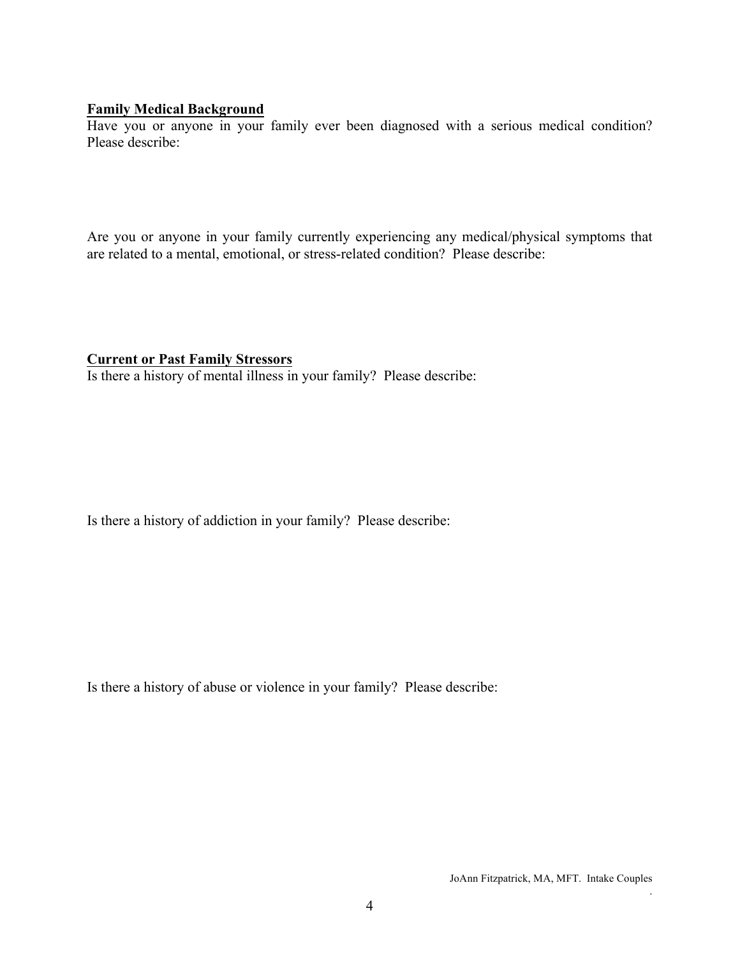#### **Family Medical Background**

Have you or anyone in your family ever been diagnosed with a serious medical condition? Please describe:

Are you or anyone in your family currently experiencing any medical/physical symptoms that are related to a mental, emotional, or stress-related condition? Please describe:

#### **Current or Past Family Stressors**

Is there a history of mental illness in your family? Please describe:

Is there a history of addiction in your family? Please describe:

Is there a history of abuse or violence in your family? Please describe: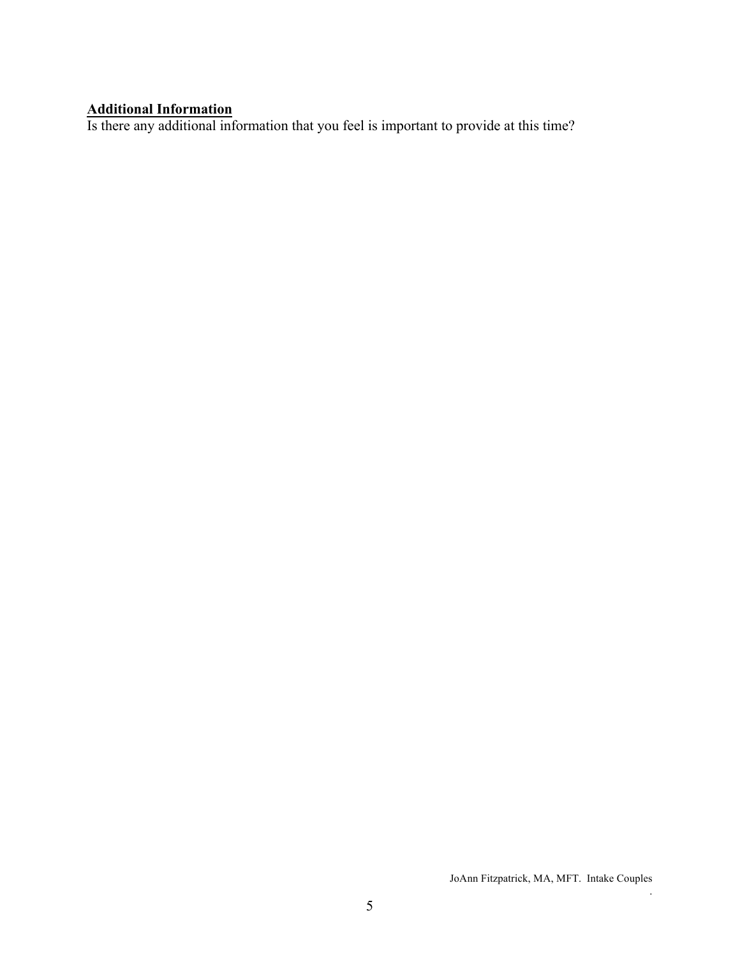#### **Additional Information**

Is there any additional information that you feel is important to provide at this time?